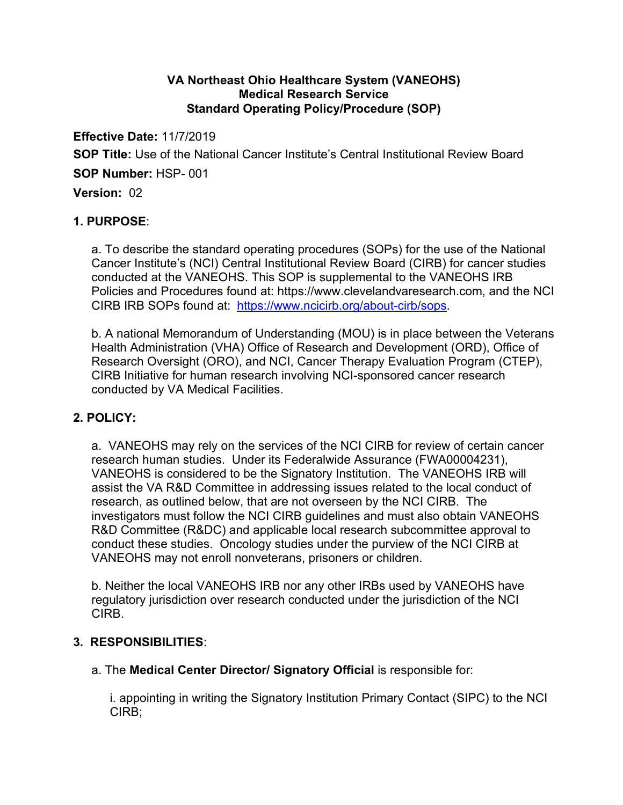## **VA Northeast Ohio Healthcare System (VANEOHS) Medical Research Service Standard Operating Policy/Procedure (SOP)**

**Effective Date:** 11/7/2019 **SOP Title:** Use of the National Cancer Institute's Central Institutional Review Board **SOP Number:** HSP- 001 **Version:** 02

# **1. PURPOSE**:

a. To describe the standard operating procedures (SOPs) for the use of the National Cancer Institute's (NCI) Central Institutional Review Board (CIRB) for cancer studies conducted at the VANEOHS. This SOP is supplemental to the VANEOHS IRB Policies and Procedures found at: https://www.clevelandvaresearch.com, and the NCI CIRB IRB SOPs found at: https://www.ncicirb.org/about-cirb/sops.

b. A national Memorandum of Understanding (MOU) is in place between the Veterans Health Administration (VHA) Office of Research and Development (ORD), Office of Research Oversight (ORO), and NCI, Cancer Therapy Evaluation Program (CTEP), CIRB Initiative for human research involving NCI-sponsored cancer research conducted by VA Medical Facilities.

# **2. POLICY:**

a. VANEOHS may rely on the services of the NCI CIRB for review of certain cancer research human studies. Under its Federalwide Assurance (FWA00004231), VANEOHS is considered to be the Signatory Institution. The VANEOHS IRB will assist the VA R&D Committee in addressing issues related to the local conduct of research, as outlined below, that are not overseen by the NCI CIRB. The investigators must follow the NCI CIRB guidelines and must also obtain VANEOHS R&D Committee (R&DC) and applicable local research subcommittee approval to conduct these studies. Oncology studies under the purview of the NCI CIRB at VANEOHS may not enroll nonveterans, prisoners or children.

b. Neither the local VANEOHS IRB nor any other IRBs used by VANEOHS have regulatory jurisdiction over research conducted under the jurisdiction of the NCI CIRB.

### **3. RESPONSIBILITIES**:

### a. The **Medical Center Director/ Signatory Official** is responsible for:

i. appointing in writing the Signatory Institution Primary Contact (SIPC) to the NCI CIRB;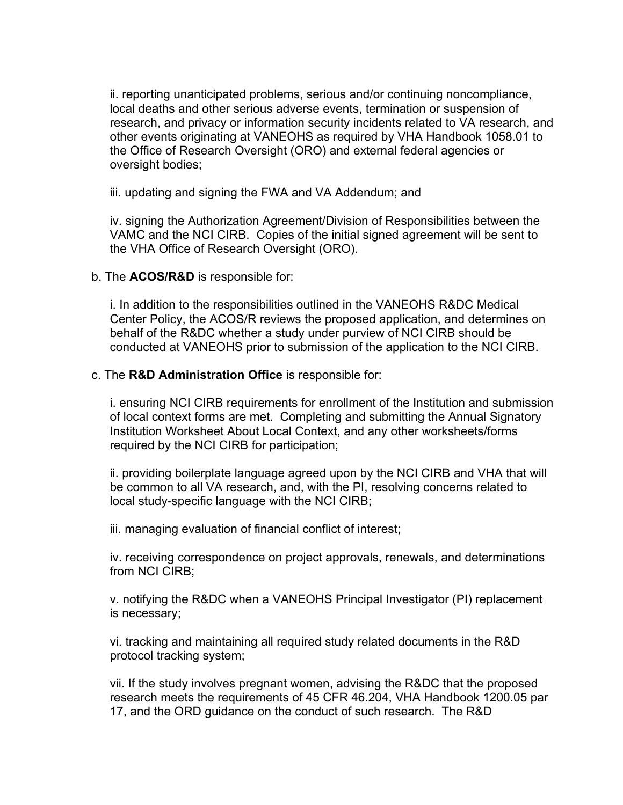ii. reporting unanticipated problems, serious and/or continuing noncompliance, local deaths and other serious adverse events, termination or suspension of research, and privacy or information security incidents related to VA research, and other events originating at VANEOHS as required by VHA Handbook 1058.01 to the Office of Research Oversight (ORO) and external federal agencies or oversight bodies;

iii. updating and signing the FWA and VA Addendum; and

iv. signing the Authorization Agreement/Division of Responsibilities between the VAMC and the NCI CIRB. Copies of the initial signed agreement will be sent to the VHA Office of Research Oversight (ORO).

#### b. The **ACOS/R&D** is responsible for:

i. In addition to the responsibilities outlined in the VANEOHS R&DC Medical Center Policy, the ACOS/R reviews the proposed application, and determines on behalf of the R&DC whether a study under purview of NCI CIRB should be conducted at VANEOHS prior to submission of the application to the NCI CIRB.

#### c. The **R&D Administration Office** is responsible for:

i. ensuring NCI CIRB requirements for enrollment of the Institution and submission of local context forms are met. Completing and submitting the Annual Signatory Institution Worksheet About Local Context, and any other worksheets/forms required by the NCI CIRB for participation;

ii. providing boilerplate language agreed upon by the NCI CIRB and VHA that will be common to all VA research, and, with the PI, resolving concerns related to local study-specific language with the NCI CIRB;

iii. managing evaluation of financial conflict of interest;

iv. receiving correspondence on project approvals, renewals, and determinations from NCI CIRB;

v. notifying the R&DC when a VANEOHS Principal Investigator (PI) replacement is necessary;

vi. tracking and maintaining all required study related documents in the R&D protocol tracking system;

vii. If the study involves pregnant women, advising the R&DC that the proposed research meets the requirements of 45 CFR 46.204, VHA Handbook 1200.05 par 17, and the ORD guidance on the conduct of such research. The R&D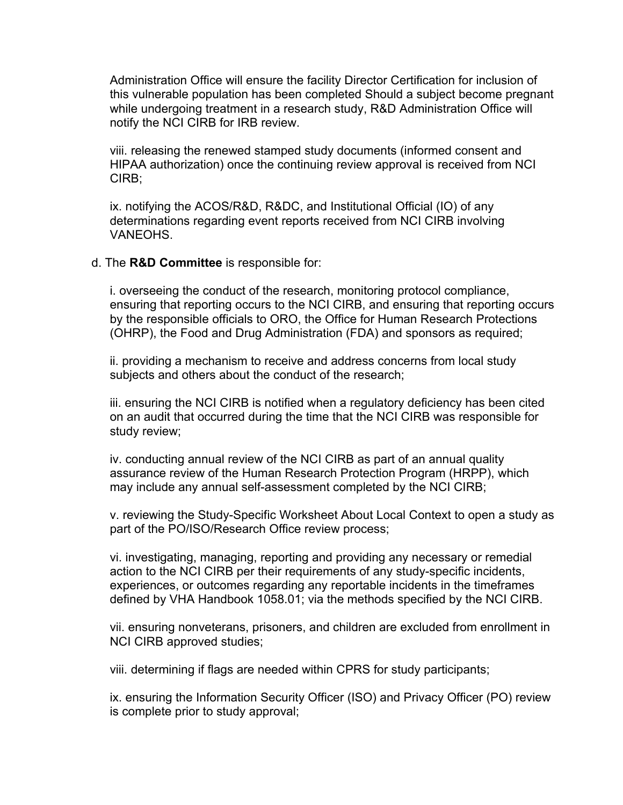Administration Office will ensure the facility Director Certification for inclusion of this vulnerable population has been completed Should a subject become pregnant while undergoing treatment in a research study, R&D Administration Office will notify the NCI CIRB for IRB review.

viii. releasing the renewed stamped study documents (informed consent and HIPAA authorization) once the continuing review approval is received from NCI CIRB;

ix. notifying the ACOS/R&D, R&DC, and Institutional Official (IO) of any determinations regarding event reports received from NCI CIRB involving VANEOHS.

#### d. The **R&D Committee** is responsible for:

i. overseeing the conduct of the research, monitoring protocol compliance, ensuring that reporting occurs to the NCI CIRB, and ensuring that reporting occurs by the responsible officials to ORO, the Office for Human Research Protections (OHRP), the Food and Drug Administration (FDA) and sponsors as required;

ii. providing a mechanism to receive and address concerns from local study subjects and others about the conduct of the research;

iii. ensuring the NCI CIRB is notified when a regulatory deficiency has been cited on an audit that occurred during the time that the NCI CIRB was responsible for study review;

iv. conducting annual review of the NCI CIRB as part of an annual quality assurance review of the Human Research Protection Program (HRPP), which may include any annual self-assessment completed by the NCI CIRB;

v. reviewing the Study-Specific Worksheet About Local Context to open a study as part of the PO/ISO/Research Office review process;

vi. investigating, managing, reporting and providing any necessary or remedial action to the NCI CIRB per their requirements of any study-specific incidents, experiences, or outcomes regarding any reportable incidents in the timeframes defined by VHA Handbook 1058.01; via the methods specified by the NCI CIRB.

vii. ensuring nonveterans, prisoners, and children are excluded from enrollment in NCI CIRB approved studies;

viii. determining if flags are needed within CPRS for study participants;

ix. ensuring the Information Security Officer (ISO) and Privacy Officer (PO) review is complete prior to study approval;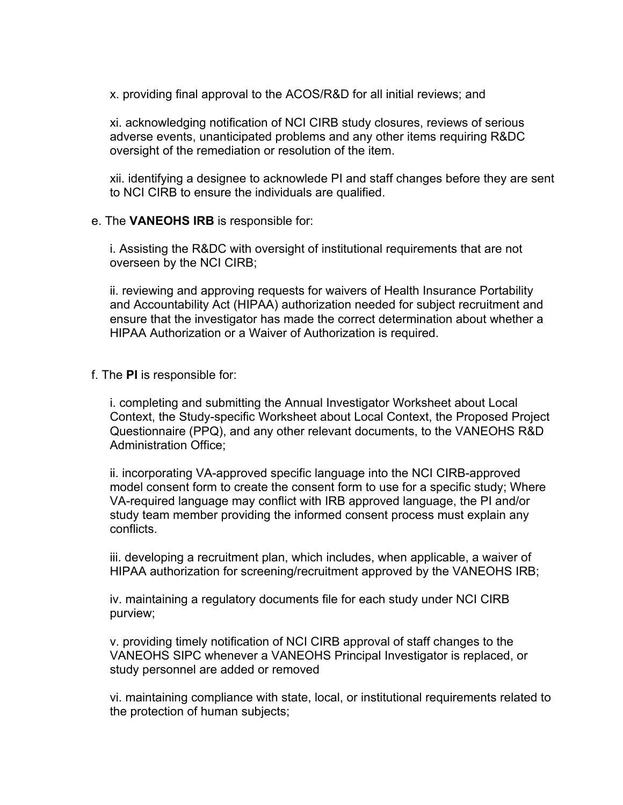x. providing final approval to the ACOS/R&D for all initial reviews; and

xi. acknowledging notification of NCI CIRB study closures, reviews of serious adverse events, unanticipated problems and any other items requiring R&DC oversight of the remediation or resolution of the item.

xii. identifying a designee to acknowlede PI and staff changes before they are sent to NCI CIRB to ensure the individuals are qualified.

#### e. The **VANEOHS IRB** is responsible for:

i. Assisting the R&DC with oversight of institutional requirements that are not overseen by the NCI CIRB;

ii. reviewing and approving requests for waivers of Health Insurance Portability and Accountability Act (HIPAA) authorization needed for subject recruitment and ensure that the investigator has made the correct determination about whether a HIPAA Authorization or a Waiver of Authorization is required.

### f. The **PI** is responsible for:

i. completing and submitting the Annual Investigator Worksheet about Local Context, the Study-specific Worksheet about Local Context, the Proposed Project Questionnaire (PPQ), and any other relevant documents, to the VANEOHS R&D Administration Office;

ii. incorporating VA-approved specific language into the NCI CIRB-approved model consent form to create the consent form to use for a specific study; Where VA-required language may conflict with IRB approved language, the PI and/or study team member providing the informed consent process must explain any conflicts.

iii. developing a recruitment plan, which includes, when applicable, a waiver of HIPAA authorization for screening/recruitment approved by the VANEOHS IRB;

iv. maintaining a regulatory documents file for each study under NCI CIRB purview;

v. providing timely notification of NCI CIRB approval of staff changes to the VANEOHS SIPC whenever a VANEOHS Principal Investigator is replaced, or study personnel are added or removed

vi. maintaining compliance with state, local, or institutional requirements related to the protection of human subjects;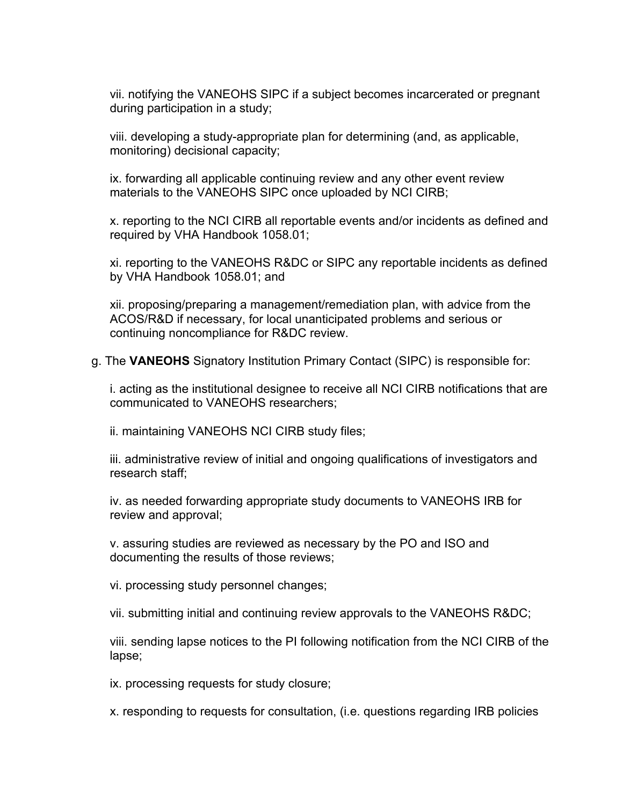vii. notifying the VANEOHS SIPC if a subject becomes incarcerated or pregnant during participation in a study;

viii. developing a study-appropriate plan for determining (and, as applicable, monitoring) decisional capacity;

ix. forwarding all applicable continuing review and any other event review materials to the VANEOHS SIPC once uploaded by NCI CIRB;

x. reporting to the NCI CIRB all reportable events and/or incidents as defined and required by VHA Handbook 1058.01;

xi. reporting to the VANEOHS R&DC or SIPC any reportable incidents as defined by VHA Handbook 1058.01; and

xii. proposing/preparing a management/remediation plan, with advice from the ACOS/R&D if necessary, for local unanticipated problems and serious or continuing noncompliance for R&DC review.

g. The **VANEOHS** Signatory Institution Primary Contact (SIPC) is responsible for:

i. acting as the institutional designee to receive all NCI CIRB notifications that are communicated to VANEOHS researchers;

ii. maintaining VANEOHS NCI CIRB study files;

iii. administrative review of initial and ongoing qualifications of investigators and research staff;

iv. as needed forwarding appropriate study documents to VANEOHS IRB for review and approval;

v. assuring studies are reviewed as necessary by the PO and ISO and documenting the results of those reviews;

vi. processing study personnel changes;

vii. submitting initial and continuing review approvals to the VANEOHS R&DC;

viii. sending lapse notices to the PI following notification from the NCI CIRB of the lapse;

ix. processing requests for study closure;

x. responding to requests for consultation, (i.e. questions regarding IRB policies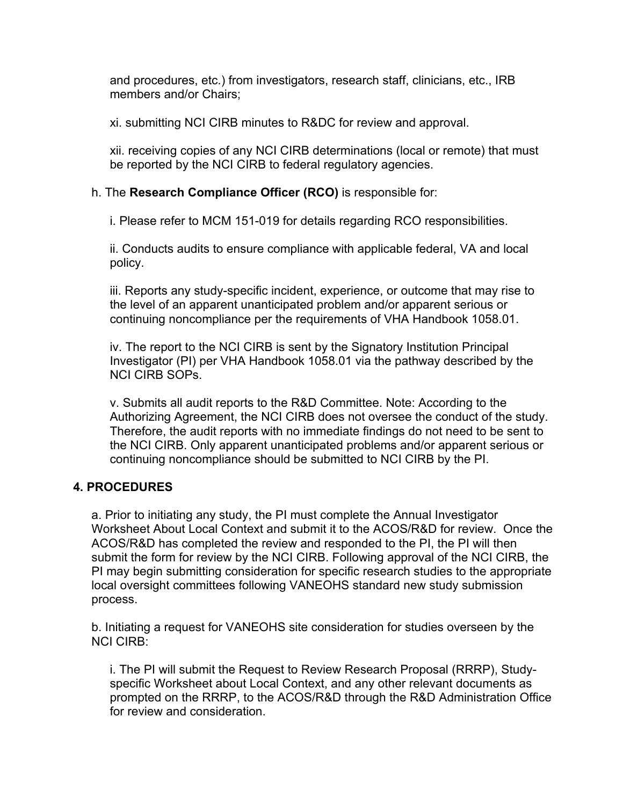and procedures, etc.) from investigators, research staff, clinicians, etc., IRB members and/or Chairs;

xi. submitting NCI CIRB minutes to R&DC for review and approval.

xii. receiving copies of any NCI CIRB determinations (local or remote) that must be reported by the NCI CIRB to federal regulatory agencies.

### h. The **Research Compliance Officer (RCO)** is responsible for:

i. Please refer to MCM 151-019 for details regarding RCO responsibilities.

ii. Conducts audits to ensure compliance with applicable federal, VA and local policy.

iii. Reports any study-specific incident, experience, or outcome that may rise to the level of an apparent unanticipated problem and/or apparent serious or continuing noncompliance per the requirements of VHA Handbook 1058.01.

iv. The report to the NCI CIRB is sent by the Signatory Institution Principal Investigator (PI) per VHA Handbook 1058.01 via the pathway described by the NCI CIRB SOPs.

v. Submits all audit reports to the R&D Committee. Note: According to the Authorizing Agreement, the NCI CIRB does not oversee the conduct of the study. Therefore, the audit reports with no immediate findings do not need to be sent to the NCI CIRB. Only apparent unanticipated problems and/or apparent serious or continuing noncompliance should be submitted to NCI CIRB by the PI.

### **4. PROCEDURES**

a. Prior to initiating any study, the PI must complete the Annual Investigator Worksheet About Local Context and submit it to the ACOS/R&D for review. Once the ACOS/R&D has completed the review and responded to the PI, the PI will then submit the form for review by the NCI CIRB. Following approval of the NCI CIRB, the PI may begin submitting consideration for specific research studies to the appropriate local oversight committees following VANEOHS standard new study submission process.

b. Initiating a request for VANEOHS site consideration for studies overseen by the NCI CIRB:

i. The PI will submit the Request to Review Research Proposal (RRRP), Studyspecific Worksheet about Local Context, and any other relevant documents as prompted on the RRRP, to the ACOS/R&D through the R&D Administration Office for review and consideration.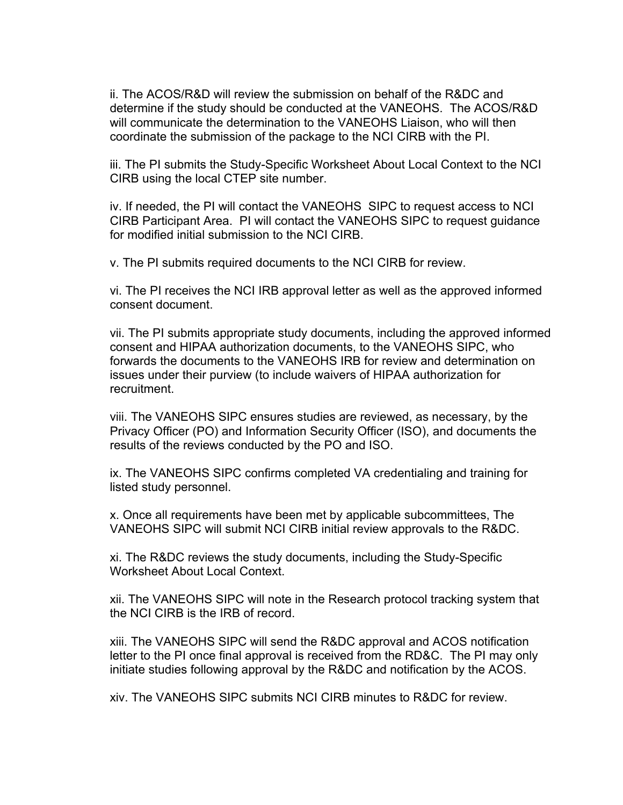ii. The ACOS/R&D will review the submission on behalf of the R&DC and determine if the study should be conducted at the VANEOHS. The ACOS/R&D will communicate the determination to the VANEOHS Liaison, who will then coordinate the submission of the package to the NCI CIRB with the PI.

iii. The PI submits the Study-Specific Worksheet About Local Context to the NCI CIRB using the local CTEP site number.

iv. If needed, the PI will contact the VANEOHS SIPC to request access to NCI CIRB Participant Area. PI will contact the VANEOHS SIPC to request guidance for modified initial submission to the NCI CIRB.

v. The PI submits required documents to the NCI CIRB for review.

vi. The PI receives the NCI IRB approval letter as well as the approved informed consent document.

vii. The PI submits appropriate study documents, including the approved informed consent and HIPAA authorization documents, to the VANEOHS SIPC, who forwards the documents to the VANEOHS IRB for review and determination on issues under their purview (to include waivers of HIPAA authorization for recruitment.

viii. The VANEOHS SIPC ensures studies are reviewed, as necessary, by the Privacy Officer (PO) and Information Security Officer (ISO), and documents the results of the reviews conducted by the PO and ISO.

listed study personnel. ix. The VANEOHS SIPC confirms completed VA credentialing and training for

x. Once all requirements have been met by applicable subcommittees, The VANEOHS SIPC will submit NCI CIRB initial review approvals to the R&DC.

xi. The R&DC reviews the study documents, including the Study-Specific Worksheet About Local Context.

xii. The VANEOHS SIPC will note in the Research protocol tracking system that the NCI CIRB is the IRB of record.

xiii. The VANEOHS SIPC will send the R&DC approval and ACOS notification letter to the PI once final approval is received from the RD&C. The PI may only initiate studies following approval by the R&DC and notification by the ACOS.

xiv. The VANEOHS SIPC submits NCI CIRB minutes to R&DC for review.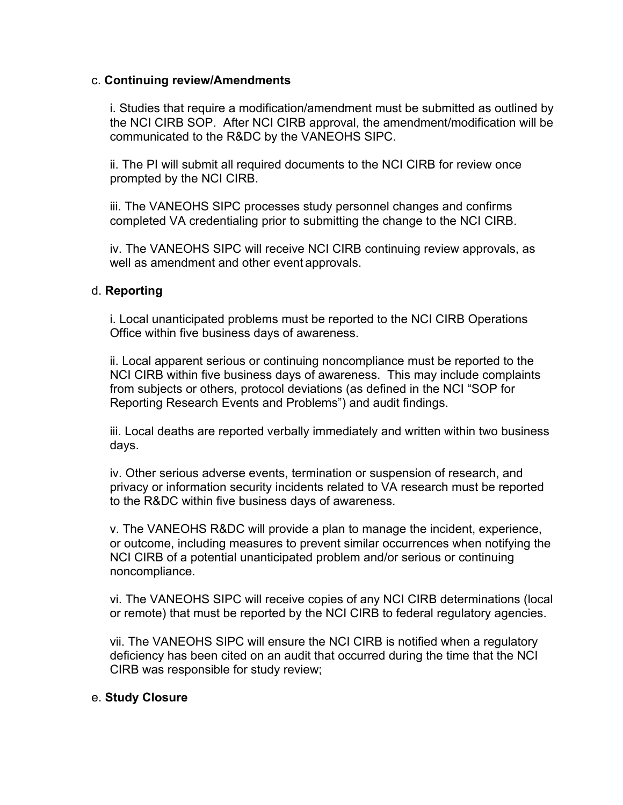### c. **Continuing review/Amendments**

i. Studies that require a modification/amendment must be submitted as outlined by the NCI CIRB SOP. After NCI CIRB approval, the amendment/modification will be communicated to the R&DC by the VANEOHS SIPC.

ii. The PI will submit all required documents to the NCI CIRB for review once prompted by the NCI CIRB.

iii. The VANEOHS SIPC processes study personnel changes and confirms completed VA credentialing prior to submitting the change to the NCI CIRB.

iv. The VANEOHS SIPC will receive NCI CIRB continuing review approvals, as well as amendment and other event approvals.

### d. **Reporting**

i. Local unanticipated problems must be reported to the NCI CIRB Operations Office within five business days of awareness.

ii. Local apparent serious or continuing noncompliance must be reported to the NCI CIRB within five business days of awareness. This may include complaints from subjects or others, protocol deviations (as defined in the NCI "SOP for Reporting Research Events and Problems") and audit findings.

iii. Local deaths are reported verbally immediately and written within two business days.

iv. Other serious adverse events, termination or suspension of research, and privacy or information security incidents related to VA research must be reported to the R&DC within five business days of awareness.

v. The VANEOHS R&DC will provide a plan to manage the incident, experience, or outcome, including measures to prevent similar occurrences when notifying the NCI CIRB of a potential unanticipated problem and/or serious or continuing noncompliance.

vi. The VANEOHS SIPC will receive copies of any NCI CIRB determinations (local or remote) that must be reported by the NCI CIRB to federal regulatory agencies.

vii. The VANEOHS SIPC will ensure the NCI CIRB is notified when a regulatory deficiency has been cited on an audit that occurred during the time that the NCI CIRB was responsible for study review;

### e. **Study Closure**